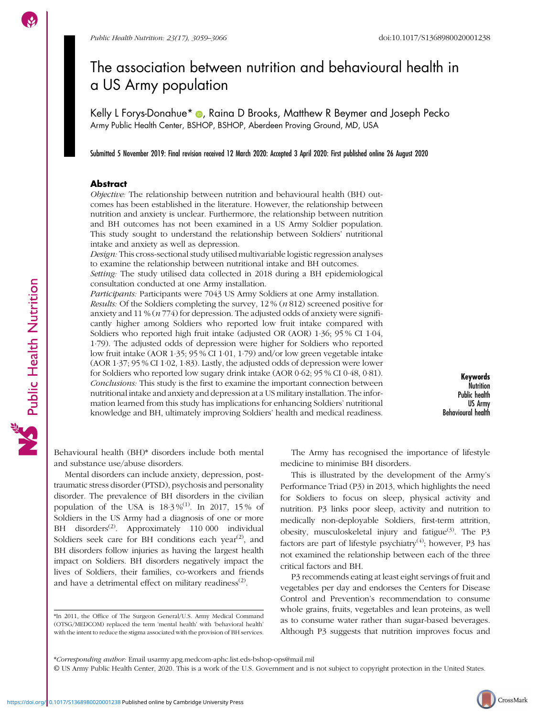# The association between nutrition and behavioural health in a US Army population

Kelly L Forys-Donahue\* (a), Raina D Brooks, Matthew R Beymer and Joseph Pecko Army Public Health Center, BSHOP, BSHOP, Aberdeen Proving Ground, MD, USA

Submitted 5 November 2019: Final revision received 12 March 2020: Accepted 3 April 2020: First published online 26 August 2020

## **Abstract**

Objective: The relationship between nutrition and behavioural health (BH) outcomes has been established in the literature. However, the relationship between nutrition and anxiety is unclear. Furthermore, the relationship between nutrition and BH outcomes has not been examined in a US Army Soldier population. This study sought to understand the relationship between Soldiers' nutritional intake and anxiety as well as depression.

Design: This cross-sectional study utilised multivariable logistic regression analyses to examine the relationship between nutritional intake and BH outcomes.

Setting: The study utilised data collected in 2018 during a BH epidemiological consultation conducted at one Army installation.

Participants: Participants were 7043 US Army Soldiers at one Army installation. Results: Of the Soldiers completing the survey, 12 % (n 812) screened positive for anxiety and 11 %  $(n 774)$  for depression. The adjusted odds of anxiety were significantly higher among Soldiers who reported low fruit intake compared with Soldiers who reported high fruit intake (adjusted OR (AOR) 1·36; 95 % CI 1·04, 1·79). The adjusted odds of depression were higher for Soldiers who reported low fruit intake (AOR 1·35; 95 % CI 1·01, 1·79) and/or low green vegetable intake (AOR 1·37; 95 % CI 1·02, 1·83). Lastly, the adjusted odds of depression were lower for Soldiers who reported low sugary drink intake (AOR 0·62; 95 % CI 0·48, 0·81). Conclusions: This study is the first to examine the important connection between nutritional intake and anxiety and depression at a US military installation. The information learned from this study has implications for enhancing Soldiers' nutritional knowledge and BH, ultimately improving Soldiers' health and medical readiness.

Keywords **Nutrition** Public health US Army Behavioural health

Behavioural health (BH)\* disorders include both mental and substance use/abuse disorders.

Mental disorders can include anxiety, depression, posttraumatic stress disorder (PTSD), psychosis and personality disorder. The prevalence of BH disorders in the civilian population of the USA is  $18·3 %^{(1)}$  $18·3 %^{(1)}$  $18·3 %^{(1)}$ . In 2017, 15% of Soldiers in the US Army had a diagnosis of one or more BH disorders<sup>[\(2\)](#page-6-0)</sup>. Approximately 110 000 individual Soldiers seek care for BH conditions each year<sup>[\(2](#page-6-0))</sup>, and BH disorders follow injuries as having the largest health impact on Soldiers. BH disorders negatively impact the lives of Soldiers, their families, co-workers and friends and have a detrimental effect on military readiness<sup>([2\)](#page-6-0)</sup>.

\*In 2011, the Office of The Surgeon General/U.S. Army Medical Command (OTSG/MEDCOM) replaced the term 'mental health' with 'behavioral health' with the intent to reduce the stigma associated with the provision of BH services.

The Army has recognised the importance of lifestyle medicine to minimise BH disorders.

This is illustrated by the development of the Army's Performance Triad (P3) in 2013, which highlights the need for Soldiers to focus on sleep, physical activity and nutrition. P3 links poor sleep, activity and nutrition to medically non-deployable Soldiers, first-term attrition, obesity, musculoskeletal injury and fatigue<sup>[\(3\)](#page-6-0)</sup>. The P3 factors are part of lifestyle psychiatry<sup>([4\)](#page-6-0)</sup>; however, P3 has not examined the relationship between each of the three critical factors and BH.

P3 recommends eating at least eight servings of fruit and vegetables per day and endorses the Centers for Disease Control and Prevention's recommendation to consume whole grains, fruits, vegetables and lean proteins, as well as to consume water rather than sugar-based beverages. Although P3 suggests that nutrition improves focus and

© US Army Public Health Center, 2020. This is a work of the U.S. Government and is not subject to copyright protection in the United States.

<sup>\*</sup>Corresponding author: Email usarmy.apg.medcom-aphc.list.eds-bshop-ops@mail.mil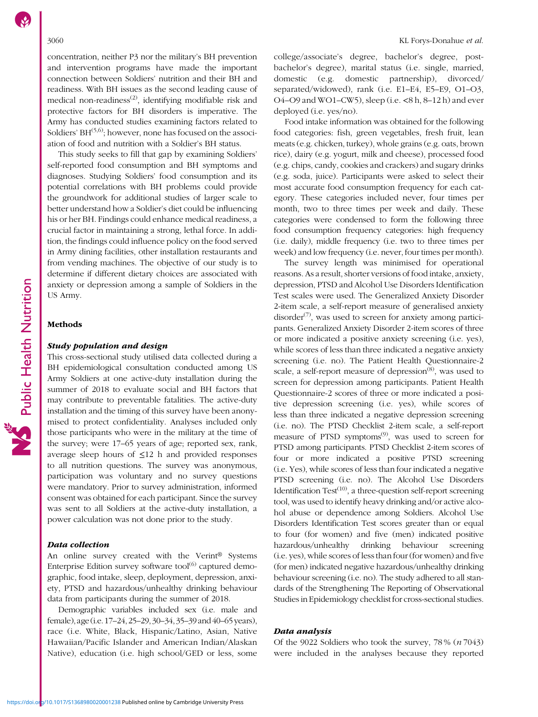concentration, neither P3 nor the military's BH prevention and intervention programs have made the important connection between Soldiers' nutrition and their BH and readiness. With BH issues as the second leading cause of medical non-readiness<sup> $(2)$ </sup>, identifying modifiable risk and protective factors for BH disorders is imperative. The Army has conducted studies examining factors related to Soldiers' BH<sup>([5,6\)](#page-6-0)</sup>; however, none has focused on the association of food and nutrition with a Soldier's BH status.

This study seeks to fill that gap by examining Soldiers' self-reported food consumption and BH symptoms and diagnoses. Studying Soldiers' food consumption and its potential correlations with BH problems could provide the groundwork for additional studies of larger scale to better understand how a Soldier's diet could be influencing his or her BH. Findings could enhance medical readiness, a crucial factor in maintaining a strong, lethal force. In addition, the findings could influence policy on the food served in Army dining facilities, other installation restaurants and from vending machines. The objective of our study is to determine if different dietary choices are associated with anxiety or depression among a sample of Soldiers in the US Army.

#### Methods

## Study population and design

This cross-sectional study utilised data collected during a BH epidemiological consultation conducted among US Army Soldiers at one active-duty installation during the summer of 2018 to evaluate social and BH factors that may contribute to preventable fatalities. The active-duty installation and the timing of this survey have been anonymised to protect confidentiality. Analyses included only those participants who were in the military at the time of the survey; were 17–65 years of age; reported sex, rank, average sleep hours of  $\leq 12$  h and provided responses to all nutrition questions. The survey was anonymous, participation was voluntary and no survey questions were mandatory. Prior to survey administration, informed consent was obtained for each participant. Since the survey was sent to all Soldiers at the active-duty installation, a power calculation was not done prior to the study.

# Data collection

An online survey created with the Verint® Systems Enterprise Edition survey software tool<sup>([6](#page-6-0))</sup> captured demographic, food intake, sleep, deployment, depression, anxiety, PTSD and hazardous/unhealthy drinking behaviour data from participants during the summer of 2018.

Demographic variables included sex (i.e. male and female), age (i.e. 17–24, 25–29, 30–34, 35–39 and 40–65 years), race (i.e. White, Black, Hispanic/Latino, Asian, Native Hawaiian/Pacific Islander and American Indian/Alaskan Native), education (i.e. high school/GED or less, some college/associate's degree, bachelor's degree, postbachelor's degree), marital status (i.e. single, married, domestic (e.g. domestic partnership), divorced/ separated/widowed), rank (i.e. E1–E4, E5–E9, O1–O3, O4–O9 and WO1–CW5), sleep (i.e. <8 h, 8–12 h) and ever deployed (i.e. yes/no).

Food intake information was obtained for the following food categories: fish, green vegetables, fresh fruit, lean meats (e.g. chicken, turkey), whole grains (e.g. oats, brown rice), dairy (e.g. yogurt, milk and cheese), processed food (e.g. chips, candy, cookies and crackers) and sugary drinks (e.g. soda, juice). Participants were asked to select their most accurate food consumption frequency for each category. These categories included never, four times per month, two to three times per week and daily. These categories were condensed to form the following three food consumption frequency categories: high frequency (i.e. daily), middle frequency (i.e. two to three times per week) and low frequency (i.e. never, four times per month).

The survey length was minimised for operational reasons. As a result, shorter versions of food intake, anxiety, depression, PTSD and Alcohol Use Disorders Identification Test scales were used. The Generalized Anxiety Disorder 2-item scale, a self-report measure of generalised anxiety disorder<sup> $(7)$  $(7)$ </sup>, was used to screen for anxiety among participants. Generalized Anxiety Disorder 2-item scores of three or more indicated a positive anxiety screening (i.e. yes), while scores of less than three indicated a negative anxiety screening (i.e. no). The Patient Health Questionnaire-2 scale, a self-report measure of depression $^{(8)}$  $^{(8)}$  $^{(8)}$ , was used to screen for depression among participants. Patient Health Questionnaire-2 scores of three or more indicated a positive depression screening (i.e. yes), while scores of less than three indicated a negative depression screening (i.e. no). The PTSD Checklist 2-item scale, a self-report measure of PTSD symptoms $(9)$  $(9)$ , was used to screen for PTSD among participants. PTSD Checklist 2-item scores of four or more indicated a positive PTSD screening (i.e. Yes), while scores of less than four indicated a negative PTSD screening (i.e. no). The Alcohol Use Disorders Identification  $Test^{(10)}$  $Test^{(10)}$  $Test^{(10)}$ , a three-question self-report screening tool, was used to identify heavy drinking and/or active alcohol abuse or dependence among Soldiers. Alcohol Use Disorders Identification Test scores greater than or equal to four (for women) and five (men) indicated positive hazardous/unhealthy drinking behaviour screening (i.e. yes), while scores of less than four (for women) and five (for men) indicated negative hazardous/unhealthy drinking behaviour screening (i.e. no). The study adhered to all standards of the Strengthening The Reporting of Observational Studies in Epidemiology checklist for cross-sectional studies.

## Data analysis

Of the 9022 Soldiers who took the survey,  $78\%$   $(n7043)$ were included in the analyses because they reported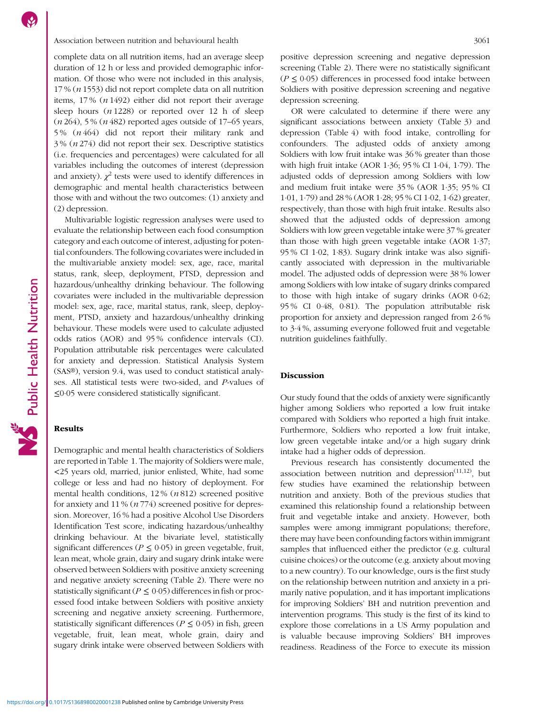# Association between nutrition and behavioural health 3061

complete data on all nutrition items, had an average sleep duration of 12 h or less and provided demographic information. Of those who were not included in this analysis, 17 % (n 1553) did not report complete data on all nutrition items, 17 % (n 1492) either did not report their average sleep hours  $(n 1228)$  or reported over 12 h of sleep  $(n 264)$ , 5 %  $(n 482)$  reported ages outside of 17–65 years, 5% (n 464) did not report their military rank and 3% (n 274) did not report their sex. Descriptive statistics (i.e. frequencies and percentages) were calculated for all variables including the outcomes of interest (depression and anxiety).  $\chi^2$  tests were used to identify differences in demographic and mental health characteristics between those with and without the two outcomes: (1) anxiety and (2) depression.

Multivariable logistic regression analyses were used to evaluate the relationship between each food consumption category and each outcome of interest, adjusting for potential confounders. The following covariates were included in the multivariable anxiety model: sex, age, race, marital status, rank, sleep, deployment, PTSD, depression and hazardous/unhealthy drinking behaviour. The following covariates were included in the multivariable depression model: sex, age, race, marital status, rank, sleep, deployment, PTSD, anxiety and hazardous/unhealthy drinking behaviour. These models were used to calculate adjusted odds ratios (AOR) and 95 % confidence intervals (CI). Population attributable risk percentages were calculated for anxiety and depression. Statistical Analysis System (SAS®), version 9.4, was used to conduct statistical analyses. All statistical tests were two-sided, and P-values of ≤0·05 were considered statistically significant.

# Results

Demographic and mental health characteristics of Soldiers are reported in Table [1.](#page-3-0) The majority of Soldiers were male, <25 years old, married, junior enlisted, White, had some college or less and had no history of deployment. For mental health conditions, 12 % (n 812) screened positive for anxiety and  $11\%$   $(n\ 774)$  screened positive for depression. Moreover, 16 % had a positive Alcohol Use Disorders Identification Test score, indicating hazardous/unhealthy drinking behaviour. At the bivariate level, statistically significant differences ( $P \le 0.05$ ) in green vegetable, fruit, lean meat, whole grain, dairy and sugary drink intake were observed between Soldiers with positive anxiety screening and negative anxiety screening (Table [2\)](#page-4-0). There were no statistically significant ( $P \le 0.05$ ) differences in fish or processed food intake between Soldiers with positive anxiety screening and negative anxiety screening. Furthermore, statistically significant differences ( $P \le 0.05$ ) in fish, green vegetable, fruit, lean meat, whole grain, dairy and sugary drink intake were observed between Soldiers with positive depression screening and negative depression screening (Table [2\)](#page-4-0). There were no statistically significant  $(P \le 0.05)$  differences in processed food intake between Soldiers with positive depression screening and negative depression screening.

OR were calculated to determine if there were any significant associations between anxiety (Table [3\)](#page-4-0) and depression (Table [4\)](#page-5-0) with food intake, controlling for confounders. The adjusted odds of anxiety among Soldiers with low fruit intake was 36 % greater than those with high fruit intake (AOR 1·36; 95 % CI 1·04, 1·79). The adjusted odds of depression among Soldiers with low and medium fruit intake were 35 % (AOR 1·35; 95 % CI 1·01, 1·79) and 28 % (AOR 1·28; 95 % CI 1·02, 1·62) greater, respectively, than those with high fruit intake. Results also showed that the adjusted odds of depression among Soldiers with low green vegetable intake were 37 % greater than those with high green vegetable intake (AOR 1·37; 95 % CI 1·02, 1·83). Sugary drink intake was also significantly associated with depression in the multivariable model. The adjusted odds of depression were 38 % lower among Soldiers with low intake of sugary drinks compared to those with high intake of sugary drinks (AOR 0·62; 95 % CI 0·48, 0·81). The population attributable risk proportion for anxiety and depression ranged from 2·6 % to 3·4 %, assuming everyone followed fruit and vegetable nutrition guidelines faithfully.

# Discussion

Our study found that the odds of anxiety were significantly higher among Soldiers who reported a low fruit intake compared with Soldiers who reported a high fruit intake. Furthermore, Soldiers who reported a low fruit intake, low green vegetable intake and/or a high sugary drink intake had a higher odds of depression.

Previous research has consistently documented the association between nutrition and depression $(11,12)$  $(11,12)$ , but few studies have examined the relationship between nutrition and anxiety. Both of the previous studies that examined this relationship found a relationship between fruit and vegetable intake and anxiety. However, both samples were among immigrant populations; therefore, there may have been confounding factors within immigrant samples that influenced either the predictor (e.g. cultural cuisine choices) or the outcome (e.g. anxiety about moving to a new country). To our knowledge, ours is the first study on the relationship between nutrition and anxiety in a primarily native population, and it has important implications for improving Soldiers' BH and nutrition prevention and intervention programs. This study is the first of its kind to explore those correlations in a US Army population and is valuable because improving Soldiers' BH improves readiness. Readiness of the Force to execute its mission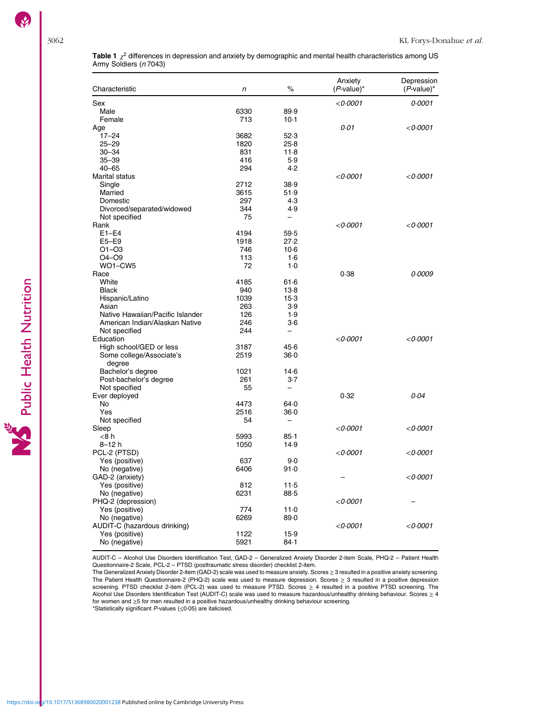Public Health Nutrition

<span id="page-3-0"></span>

| Table 1 $\chi^2$ differences in depression and anxiety by demographic and mental health characteristics among US |
|------------------------------------------------------------------------------------------------------------------|
| Army Soldiers (n7043)                                                                                            |

| Characteristic                     | n    | $\%$     | Anxiety<br>$(P$ -value)* | Depression<br>$(P$ -value)* |
|------------------------------------|------|----------|--------------------------|-----------------------------|
| Sex                                |      |          | $<$ 0 $\cdot$ 0001       | 0.0001                      |
| Male                               | 6330 | 89.9     |                          |                             |
| Female                             | 713  | $10-1$   |                          |                             |
| Age                                |      |          | 0.01                     | < 0.0001                    |
| $17 - 24$                          | 3682 | 52.3     |                          |                             |
| $25 - 29$                          | 1820 | $25-8$   |                          |                             |
| $30 - 34$                          | 831  | 11.8     |                          |                             |
| $35 - 39$                          | 416  | 5.9      |                          |                             |
| 40-65                              | 294  | 4.2      |                          |                             |
| Marital status                     |      |          | $<$ 0.0001               | < 0.0001                    |
| Single                             | 2712 | 38.9     |                          |                             |
| Married                            | 3615 | 51.9     |                          |                             |
| Domestic                           | 297  | 4.3      |                          |                             |
| Divorced/separated/widowed         | 344  | 4.9      |                          |                             |
| Not specified                      | 75   |          |                          |                             |
| Rank                               |      |          | $<$ 0.0001               | $<$ 0 $\cdot$ 0001          |
| $E1-E4$                            | 4194 | 59.5     |                          |                             |
| $E5 - E9$                          | 1918 | 27.2     |                          |                             |
| $O1 - O3$                          | 746  | $10-6$   |                          |                             |
| O4-O9                              | 113  | 1·6      |                          |                             |
| WO1-CW5                            | 72   | $1-0$    |                          |                             |
| Race                               |      |          | 0.38                     | 0.0009                      |
| White                              | 4185 | $61-6$   |                          |                             |
| Black                              | 940  | $13-8$   |                          |                             |
| Hispanic/Latino                    | 1039 | $15-3$   |                          |                             |
| Asian                              | 263  | 3.9      |                          |                             |
| Native Hawaiian/Pacific Islander   | 126  | 1.9      |                          |                             |
| American Indian/Alaskan Native     | 246  | $3-6$    |                          |                             |
| Not specified                      | 244  | —        |                          |                             |
| Education                          |      |          | $<$ 0.0001               | $<$ 0 $\cdot$ 0001          |
| High school/GED or less            | 3187 | 45.6     |                          |                             |
| Some college/Associate's<br>degree | 2519 | $36 - 0$ |                          |                             |
| Bachelor's degree                  | 1021 | 14.6     |                          |                             |
| Post-bachelor's degree             | 261  | $3-7$    |                          |                             |
| Not specified                      | 55   | -        |                          |                             |
| Ever deployed                      |      |          | 0.32                     | 0.04                        |
| No                                 | 4473 | 64.0     |                          |                             |
| Yes                                | 2516 | $36 - 0$ |                          |                             |
| Not specified                      | 54   | -        |                          |                             |
| Sleep                              |      |          | < 0.0001                 | $<$ 0 $\cdot$ 0001          |
| <8 h                               | 5993 | $85-1$   |                          |                             |
| 8–12 h                             | 1050 | 14.9     |                          |                             |
| PCL-2 (PTSD)                       |      |          | $<$ 0 $\cdot$ 0001       | $<$ 0 $\cdot$ 0001          |
| Yes (positive)                     | 637  | 9.0      |                          |                             |
| No (negative)                      | 6406 | 91.0     |                          |                             |
| GAD-2 (anxiety)<br>Yes (positive)  | 812  | 11.5     |                          | < 0.0001                    |
| No (negative)                      | 6231 | 88.5     |                          |                             |
| PHQ-2 (depression)                 |      |          |                          |                             |
| Yes (positive)                     | 774  | 11.0     | < 0.0001                 |                             |
| No (negative)                      | 6269 | 89.0     |                          |                             |
| AUDIT-C (hazardous drinking)       |      |          | $<$ 0.0001               | $<$ 0 $\cdot$ 0001          |
| Yes (positive)                     | 1122 | 15.9     |                          |                             |
| No (negative)                      | 5921 | 84.1     |                          |                             |
|                                    |      |          |                          |                             |

AUDIT-C – Alcohol Use Disorders Identification Test, GAD-2 – Generalized Anxiety Disorder 2-item Scale, PHQ-2 – Patient Health Questionnaire-2 Scale, PCL-2 – PTSD (posttraumatic stress disorder) checklist 2-item.

The Generalized Anxiety Disorder 2-item (GAD-2) scale was used to measure anxiety. Scores ≥ 3 resulted in a positive anxiety screening.<br>The Patient Health Questionnaire-2 (PHQ-2) scale was used to measure depression. Scor screening. PTSD checklist 2-item (PCL-2) was used to measure PTSD. Scores ≥ 4 resulted in a positive PTSD screening. The Alcohol Use Disorders Identification Test (AUDIT-C) scale was used to measure hazardous/unhealthy drinking behaviour. Scores  $\geq 4$ for women and ≥5 for men resulted in a positive hazardous/unhealthy drinking behaviour screening. \*Statistically significant P-values (≤0·05) are italicised.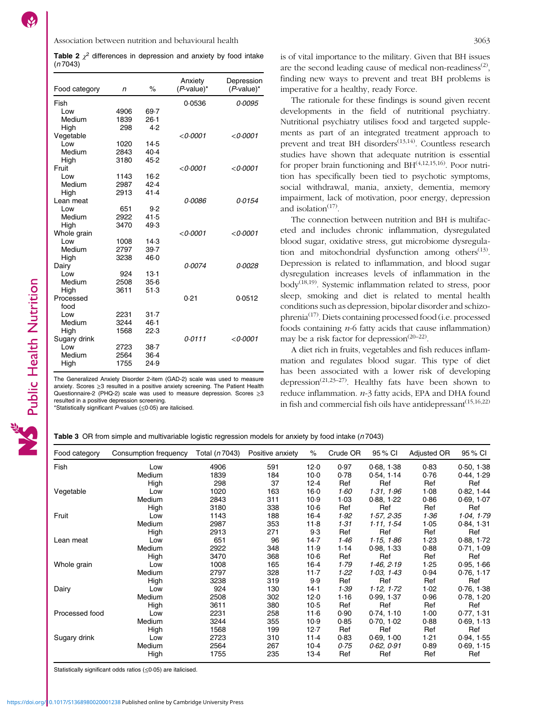<span id="page-4-0"></span>Table 2  $\chi^2$  differences in depression and anxiety by food intake (n 7043)

| Food category | n    | $\%$   | Anxiety<br>$(P$ -value)* | Depression<br>$(P$ -value)* |
|---------------|------|--------|--------------------------|-----------------------------|
| Fish          |      |        | 0.0536                   | 0.0095                      |
| Low           | 4906 | 69.7   |                          |                             |
| Medium        | 1839 | $26-1$ |                          |                             |
| High          | 298  | 4.2    |                          |                             |
| Vegetable     |      |        | < 0.0001                 | < 0.0001                    |
| Low           | 1020 | 14.5   |                          |                             |
| Medium        | 2843 | 40.4   |                          |                             |
| High          | 3180 | 45.2   |                          |                             |
| Fruit         |      |        | < 0.0001                 | < 0.0001                    |
| Low           | 1143 | $16-2$ |                          |                             |
| Medium        | 2987 | 42.4   |                          |                             |
| High          | 2913 | 41.4   |                          |                             |
| Lean meat     |      |        | 0.0086                   | 0.0154                      |
| Low           | 651  | 9.2    |                          |                             |
| Medium        | 2922 | 41.5   |                          |                             |
| High          | 3470 | 49.3   |                          |                             |
| Whole grain   |      |        | < 0.0001                 | < 0.0001                    |
| l ow          | 1008 | 14.3   |                          |                             |
| Medium        | 2797 | 39.7   |                          |                             |
| High          | 3238 | 46.0   |                          |                             |
| Dairv         |      |        | 0.0074                   | 0.0028                      |
| Low           | 924  | 13.1   |                          |                             |
| Medium        | 2508 | 35.6   |                          |                             |
| High          | 3611 | 51.3   |                          |                             |
| Processed     |      |        | 0.21                     | 0.0512                      |
| food          |      |        |                          |                             |
| Low           | 2231 | 31.7   |                          |                             |
| Medium        | 3244 | 46.1   |                          |                             |
| High          | 1568 | 22.3   |                          |                             |
| Sugary drink  |      |        | 0.0111                   | < 0.0001                    |
| Low           | 2723 | 38.7   |                          |                             |
| Medium        | 2564 | 36.4   |                          |                             |
| High          | 1755 | 24.9   |                          |                             |

The Generalized Anxiety Disorder 2-item (GAD-2) scale was used to measure anxiety. Scores ≥3 resulted in a positive anxiety screening. The Patient Health Questionnaire-2 (PHQ-2) scale was used to measure depression. Scores ≥3 resulted in a positive depression screening.

\*Statistically significant P-values (≤0·05) are italicised.

is of vital importance to the military. Given that BH issues are the second leading cause of medical non-readiness<sup> $(2)$  $(2)$  $(2)$ </sup>, finding new ways to prevent and treat BH problems is imperative for a healthy, ready Force.

The rationale for these findings is sound given recent developments in the field of nutritional psychiatry. Nutritional psychiatry utilises food and targeted supplements as part of an integrated treatment approach to prevent and treat BH disorders<sup> $(13,14)$  $(13,14)$  $(13,14)$  $(13,14)$ </sup>. Countless research studies have shown that adequate nutrition is essential for proper brain functioning and  $BH<sup>(4,12,15,16)</sup>$  $BH<sup>(4,12,15,16)</sup>$  $BH<sup>(4,12,15,16)</sup>$  $BH<sup>(4,12,15,16)</sup>$  $BH<sup>(4,12,15,16)</sup>$ . Poor nutrition has specifically been tied to psychotic symptoms, social withdrawal, mania, anxiety, dementia, memory impairment, lack of motivation, poor energy, depression and isolation $(17)$  $(17)$  $(17)$ .

The connection between nutrition and BH is multifaceted and includes chronic inflammation, dysregulated blood sugar, oxidative stress, gut microbiome dysregulation and mitochondrial dysfunction among others $(13)$  $(13)$ . Depression is related to inflammation, and blood sugar dysregulation increases levels of inflammation in the body[\(18](#page-6-0),[19](#page-6-0)). Systemic inflammation related to stress, poor sleep, smoking and diet is related to mental health conditions such as depression, bipolar disorder and schizophrenia([17](#page-6-0)). Diets containing processed food (i.e. processed foods containing  $n-6$  fatty acids that cause inflammation) may be a risk factor for depression<sup>([20](#page-7-0)–[22](#page-7-0))</sup>.

A diet rich in fruits, vegetables and fish reduces inflammation and regulates blood sugar. This type of diet has been associated with a lower risk of developing depression<sup>([21](#page-7-0),[23](#page-7-0)–[27\)](#page-7-0)</sup>. Healthy fats have been shown to reduce inflammation. n-3 fatty acids, EPA and DHA found in fish and commercial fish oils have antidepressant $(15,16,22)$  $(15,16,22)$  $(15,16,22)$  $(15,16,22)$ 

Table 3 OR from simple and multivariable logistic regression models for anxiety by food intake (n7043)

| Food category  | Consumption frequency | Total (n 7043) | Positive anxiety | $\%$   | Crude OR | 95 % CI    | Adjusted OR | 95 % CI    |
|----------------|-----------------------|----------------|------------------|--------|----------|------------|-------------|------------|
| Fish           | Low                   | 4906           | 591              | 12.0   | 0.97     | 0.68, 1.38 | 0.83        | 0.50, 1.38 |
|                | Medium                | 1839           | 184              | $10-0$ | 0.78     | 0.54, 1.14 | 0.76        | 0.44, 1.29 |
|                | High                  | 298            | 37               | 12.4   | Ref      | Ref        | Ref         | Ref        |
| Vegetable      | Low                   | 1020           | 163              | $16-0$ | 1.60     | 1.31, 1.96 | 1.08        | 0.82, 1.44 |
|                | Medium                | 2843           | 311              | 10.9   | 1.03     | 0.88, 1.22 | 0.86        | 0.69, 1.07 |
|                | High                  | 3180           | 338              | $10-6$ | Ref      | Ref        | Ref         | Ref        |
| Fruit          | Low                   | 1143           | 188              | $16-4$ | 1.92     | 1.57, 2.35 | 1.36        | 1.04, 1.79 |
|                | Medium                | 2987           | 353              | 11.8   | 1.31     | 1.11, 1.54 | 1.05        | 0.84, 1.31 |
|                | High                  | 2913           | 271              | 9.3    | Ref      | Ref        | Ref         | Ref        |
| Lean meat      | Low                   | 651            | 96               | 14.7   | 1.46     | 1.15, 1.86 | 1.23        | 0.88, 1.72 |
|                | Medium                | 2922           | 348              | 11.9   | 1.14     | 0.98, 1.33 | 0.88        | 0.71, 1.09 |
|                | High                  | 3470           | 368              | $10-6$ | Ref      | Ref        | Ref         | Ref        |
| Whole grain    | Low                   | 1008           | 165              | $16-4$ | 1.79     | 1.46, 2.19 | 1.25        | 0.95, 1.66 |
|                | Medium                | 2797           | 328              | $11-7$ | 1.22     | 1.03, 1.43 | 0.94        | 0.76, 1.17 |
|                | High                  | 3238           | 319              | 9.9    | Ref      | Ref        | Ref         | Ref        |
| Dairy          | Low                   | 924            | 130              | 14.1   | 1.39     | 1.12, 1.72 | 1.02        | 0.76, 1.38 |
|                | Medium                | 2508           | 302              | 12.0   | 1.16     | 0.99, 1.37 | 0.96        | 0.78, 1.20 |
|                | High                  | 3611           | 380              | $10-5$ | Ref      | Ref        | Ref         | Ref        |
| Processed food | Low                   | 2231           | 258              | 11.6   | 0.90     | 0.74, 1.10 | 1.00        | 0.77, 1.31 |
|                | Medium                | 3244           | 355              | 10.9   | 0.85     | 0.70, 1.02 | 0.88        | 0.69, 1.13 |
|                | High                  | 1568           | 199              | 12.7   | Ref      | Ref        | Ref         | Ref        |
| Sugary drink   | Low                   | 2723           | 310              | $11-4$ | 0.83     | 0.69, 1.00 | 1.21        | 0.94, 1.55 |
|                | Medium                | 2564           | 267              | $10-4$ | 0.75     | 0.62, 0.91 | 0.89        | 0.69, 1.15 |
|                | High                  | 1755           | 235              | $13-4$ | Ref      | Ref        | Ref         | Ref        |

Statistically significant odds ratios (≤0·05) are italicised.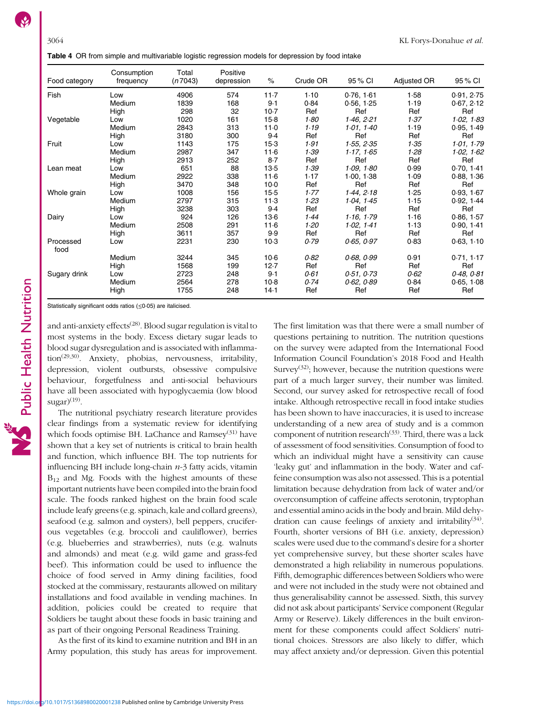Public Health Nutrition

<span id="page-5-0"></span>Table 4 OR from simple and multivariable logistic regression models for depression by food intake

| Food category     | Consumption<br>frequency | Total<br>(n7043) | Positive<br>depression | %      | Crude OR | 95 % CI    | Adjusted OR | 95 % CI    |
|-------------------|--------------------------|------------------|------------------------|--------|----------|------------|-------------|------------|
| Fish              | Low                      | 4906             | 574                    | $11-7$ | 1.10     | 0.76, 1.61 | 1.58        | 0.91, 2.75 |
|                   | Medium                   | 1839             | 168                    | 9.1    | 0.84     | 0.56, 1.25 | 1.19        | 0.67, 2.12 |
|                   | High                     | 298              | 32                     | $10-7$ | Ref      | Ref        | Ref         | Ref        |
| Vegetable         | Low                      | 1020             | 161                    | $15-8$ | 1.80     | 1.46, 2.21 | 1.37        | 1.02, 1.83 |
|                   | Medium                   | 2843             | 313                    | 11.0   | 1.19     | 1.01, 1.40 | 1.19        | 0.95, 1.49 |
|                   | High                     | 3180             | 300                    | 9.4    | Ref      | Ref        | Ref         | Ref        |
| Fruit             | Low                      | 1143             | 175                    | $15-3$ | 1.91     | 1.55, 2.35 | 1.35        | 1.01, 1.79 |
|                   | Medium                   | 2987             | 347                    | 11.6   | 1.39     | 1.17, 1.65 | 1.28        | 1.02, 1.62 |
|                   | High                     | 2913             | 252                    | 8.7    | Ref      | Ref        | Ref         | Ref        |
| Lean meat         | Low                      | 651              | 88                     | $13-5$ | 1.39     | 1.09, 1.80 | 0.99        | 0.70, 1.41 |
|                   | Medium                   | 2922             | 338                    | 11.6   | 1.17     | 1.00, 1.38 | 1.09        | 0.88, 1.36 |
|                   | High                     | 3470             | 348                    | $10-0$ | Ref      | Ref        | Ref         | Ref        |
| Whole grain       | Low                      | 1008             | 156                    | $15-5$ | 1.77     | 1.44, 2.18 | 1.25        | 0.93, 1.67 |
|                   | Medium                   | 2797             | 315                    | 11.3   | 1.23     | 1.04, 1.45 | 1.15        | 0.92, 1.44 |
|                   | High                     | 3238             | 303                    | 9.4    | Ref      | Ref        | Ref         | Ref        |
| Dairy             | Low                      | 924              | 126                    | $13-6$ | 1.44     | 1.16, 1.79 | 1.16        | 0.86, 1.57 |
|                   | Medium                   | 2508             | 291                    | 11.6   | 1.20     | 1.02, 1.41 | 1.13        | 0.90, 1.41 |
|                   | High                     | 3611             | 357                    | 9.9    | Ref      | Ref        | Ref         | Ref        |
| Processed<br>food | Low                      | 2231             | 230                    | 10.3   | 0.79     | 0.65, 0.97 | 0.83        | 0.63, 1.10 |
|                   | Medium                   | 3244             | 345                    | $10-6$ | 0.82     | 0.68, 0.99 | 0.91        | 0.71, 1.17 |
|                   | High                     | 1568             | 199                    | 12.7   | Ref      | Ref        | Ref         | Ref        |
| Sugary drink      | Low                      | 2723             | 248                    | 9.1    | 0.61     | 0.51, 0.73 | 0.62        | 0.48, 0.81 |
|                   | Medium                   | 2564             | 278                    | $10-8$ | 0.74     | 0.62, 0.89 | 0.84        | 0.65, 1.08 |
|                   | High                     | 1755             | 248                    | 14.1   | Ref      | Ref        | Ref         | Ref        |

Statistically significant odds ratios (≤0·05) are italicised.

and anti-anxiety effects<sup> $(28)$ </sup>. Blood sugar regulation is vital to most systems in the body. Excess dietary sugar leads to blood sugar dysregulation and is associated with inflammation[\(29,30](#page-7-0)). Anxiety, phobias, nervousness, irritability, depression, violent outbursts, obsessive compulsive behaviour, forgetfulness and anti-social behaviours have all been associated with hypoglycaemia (low blood  $sugar)$ <sup>([19](#page-6-0))</sup>.

The nutritional psychiatry research literature provides clear findings from a systematic review for identifying which foods optimise BH. LaChance and Ramsey<sup>([31](#page-7-0))</sup> have shown that a key set of nutrients is critical to brain health and function, which influence BH. The top nutrients for influencing BH include long-chain  $n-3$  fatty acids, vitamin  $B_{12}$  and Mg. Foods with the highest amounts of these important nutrients have been compiled into the brain food scale. The foods ranked highest on the brain food scale include leafy greens (e.g. spinach, kale and collard greens), seafood (e.g. salmon and oysters), bell peppers, cruciferous vegetables (e.g. broccoli and cauliflower), berries (e.g. blueberries and strawberries), nuts (e.g. walnuts and almonds) and meat (e.g. wild game and grass-fed beef). This information could be used to influence the choice of food served in Army dining facilities, food stocked at the commissary, restaurants allowed on military installations and food available in vending machines. In addition, policies could be created to require that Soldiers be taught about these foods in basic training and as part of their ongoing Personal Readiness Training.

As the first of its kind to examine nutrition and BH in an Army population, this study has areas for improvement. The first limitation was that there were a small number of questions pertaining to nutrition. The nutrition questions on the survey were adapted from the International Food Information Council Foundation's 2018 Food and Health Survey<sup>([32](#page-7-0))</sup>; however, because the nutrition questions were part of a much larger survey, their number was limited. Second, our survey asked for retrospective recall of food intake. Although retrospective recall in food intake studies has been shown to have inaccuracies, it is used to increase understanding of a new area of study and is a common component of nutrition research $(33)$ . Third, there was a lack of assessment of food sensitivities. Consumption of food to which an individual might have a sensitivity can cause 'leaky gut' and inflammation in the body. Water and caffeine consumption was also not assessed. This is a potential limitation because dehydration from lack of water and/or overconsumption of caffeine affects serotonin, tryptophan and essential amino acids in the body and brain. Mild dehy-dration can cause feelings of anxiety and irritability<sup>[\(34\)](#page-7-0)</sup>. Fourth, shorter versions of BH (i.e. anxiety, depression) scales were used due to the command's desire for a shorter yet comprehensive survey, but these shorter scales have demonstrated a high reliability in numerous populations. Fifth, demographic differences between Soldiers who were and were not included in the study were not obtained and thus generalisability cannot be assessed. Sixth, this survey did not ask about participants' Service component (Regular Army or Reserve). Likely differences in the built environment for these components could affect Soldiers' nutritional choices. Stressors are also likely to differ, which may affect anxiety and/or depression. Given this potential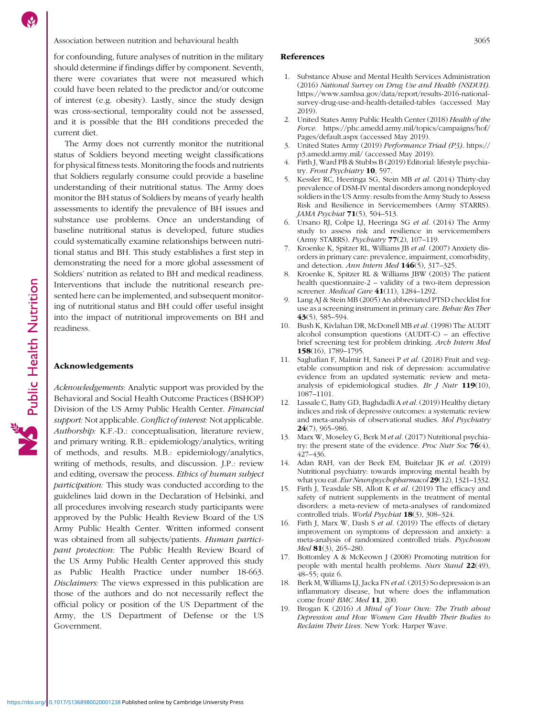#### <span id="page-6-0"></span>Association between nutrition and behavioural health 3065

for confounding, future analyses of nutrition in the military should determine if findings differ by component. Seventh, there were covariates that were not measured which could have been related to the predictor and/or outcome of interest (e.g. obesity). Lastly, since the study design was cross-sectional, temporality could not be assessed, and it is possible that the BH conditions preceded the current diet.

The Army does not currently monitor the nutritional status of Soldiers beyond meeting weight classifications for physical fitness tests. Monitoring the foods and nutrients that Soldiers regularly consume could provide a baseline understanding of their nutritional status. The Army does monitor the BH status of Soldiers by means of yearly health assessments to identify the prevalence of BH issues and substance use problems. Once an understanding of baseline nutritional status is developed, future studies could systematically examine relationships between nutritional status and BH. This study establishes a first step in demonstrating the need for a more global assessment of Soldiers' nutrition as related to BH and medical readiness. Interventions that include the nutritional research presented here can be implemented, and subsequent monitoring of nutritional status and BH could offer useful insight into the impact of nutritional improvements on BH and readiness.

# Acknowledgements

Public Health Nutrition

Acknowledgements: Analytic support was provided by the Behavioral and Social Health Outcome Practices (BSHOP) Division of the US Army Public Health Center. Financial support: Not applicable. Conflict of interest: Not applicable. Authorship: K.F.-D.: conceptualisation, literature review, and primary writing. R.B.: epidemiology/analytics, writing of methods, and results. M.B.: epidemiology/analytics, writing of methods, results, and discussion. J.P.: review and editing, oversaw the process. Ethics of human subject participation: This study was conducted according to the guidelines laid down in the Declaration of Helsinki, and all procedures involving research study participants were approved by the Public Health Review Board of the US Army Public Health Center. Written informed consent was obtained from all subjects/patients. Human participant protection: The Public Health Review Board of the US Army Public Health Center approved this study as Public Health Practice under number 18-663. Disclaimers: The views expressed in this publication are those of the authors and do not necessarily reflect the official policy or position of the US Department of the Army, the US Department of Defense or the US Government.

# References

- 1. Substance Abuse and Mental Health Services Administration (2016) National Survey on Drug Use and Health (NSDUH). [https://www.samhsa.gov/data/report/results-2016-national](https://www.samhsa.gov/data/report/results-2016-national-survey-drug-use-and-health-detailed-tables)[survey-drug-use-and-health-detailed-tables](https://www.samhsa.gov/data/report/results-2016-national-survey-drug-use-and-health-detailed-tables) (accessed May 2019).
- 2. United States Army Public Health Center (2018) Health of the Force. [https://phc.amedd.army.mil/topics/campaigns/hof/](https://phc.amedd.army.mil/topics/campaigns/hof/Pages/default.aspx) [Pages/default.aspx](https://phc.amedd.army.mil/topics/campaigns/hof/Pages/default.aspx) (accessed May 2019).
- 3. United States Army (2019) Performance Triad (P3). [https://](https://p3.amedd.army.mil/) [p3.amedd.army.mil/](https://p3.amedd.army.mil/) (accessed May 2019).
- 4. Firth J, Ward PB & Stubbs B (2019) Editorial: lifestyle psychiatry. Front Psychiatry 10, 597.
- 5. Kessler RC, Heeringa SG, Stein MB et al. (2014) Thirty-day prevalence of DSM-IV mental disorders among nondeployed soldiers in the US Army: results from the Army Study to Assess Risk and Resilience in Servicemembers (Army STARRS). JAMA Psychiat **71**(5), 504-513.
- 6. Ursano RJ, Colpe LJ, Heeringa SG et al. (2014) The Army study to assess risk and resilience in servicemembers (Army STARRS). Psychiatry 77(2), 107–119.
- 7. Kroenke K, Spitzer RL, Williams JB et al. (2007) Anxiety disorders in primary care: prevalence, impairment, comorbidity, and detection. Ann Intern Med 146(5), 317–325.
- 8. Kroenke K, Spitzer RL & Williams JBW (2003) The patient health questionnaire-2 – validity of a two-item depression screener. Medical Care 41(11), 1284–1292.
- 9. Lang AJ & Stein MB (2005) An abbreviated PTSD checklist for use as a screening instrument in primary care. Behav Res Ther 43(5), 585–594.
- 10. Bush K, Kivlahan DR, McDonell MB et al. (1998) The AUDIT alcohol consumption questions (AUDIT-C) – an effective brief screening test for problem drinking. Arch Intern Med 158(16), 1789–1795.
- 11. Saghafian F, Malmir H, Saneei P et al. (2018) Fruit and vegetable consumption and risk of depression: accumulative evidence from an updated systematic review and metaanalysis of epidemiological studies. Br  $J$  Nutr  $119(10)$ , 1087–1101.
- 12. Lassale C, Batty GD, Baghdadli A et al. (2019) Healthy dietary indices and risk of depressive outcomes: a systematic review and meta-analysis of observational studies. Mol Psychiatry 24(7), 965–986.
- 13. Marx W, Moseley G, Berk M et al. (2017) Nutritional psychiatry: the present state of the evidence. *Proc Nutr Soc*  $76(4)$ , 427–436.
- 14. Adan RAH, van der Beek EM, Buitelaar JK et al. (2019) Nutritional psychiatry: towards improving mental health by what you eat. Eur Neuropsychopharmacol 29(12), 1321–1332.
- 15. Firth J, Teasdale SB, Allott K et al. (2019) The efficacy and safety of nutrient supplements in the treatment of mental disorders: a meta-review of meta-analyses of randomized controlled trials. World Psychiat 18(3), 308–324.
- 16. Firth J, Marx W, Dash S et al. (2019) The effects of dietary improvement on symptoms of depression and anxiety: a meta-analysis of randomized controlled trials. Psychosom Med 81(3), 265-280.
- 17. Bottomley A & McKeown J (2008) Promoting nutrition for people with mental health problems. Nurs Stand 22(49), 48–55; quiz 6.
- 18. Berk M, Williams LJ, Jacka FN et al. (2013) So depression is an inflammatory disease, but where does the inflammation come from? BMC Med 11, 200.
- 19. Brogan K (2016) A Mind of Your Own: The Truth about Depression and How Women Can Health Their Bodies to Reclaim Their Lives. New York: Harper Wave.